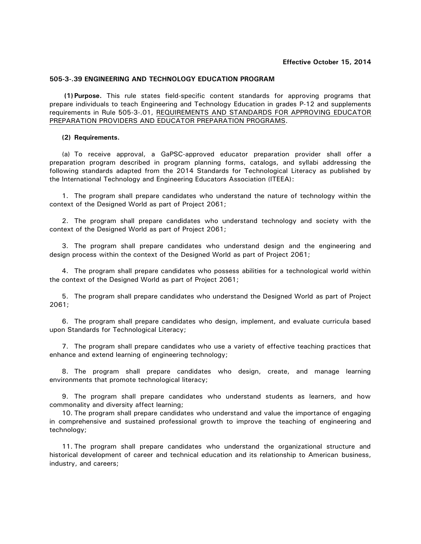## **Effective October 15, 2014**

## **505-3-.39 ENGINEERING AND TECHNOLOGY EDUCATION PROGRAM**

**(1) Purpose.** This rule states field-specific content standards for approving programs that prepare individuals to teach Engineering and Technology Education in grades P-12 and supplements requirements in Rule 505-3-.01, REQUIREMENTS AND STANDARDS FOR APPROVING EDUCATOR PREPARATION PROVIDERS AND EDUCATOR PREPARATION PROGRAMS.

## **(2) Requirements.**

(a) To receive approval, a GaPSC-approved educator preparation provider shall offer a preparation program described in program planning forms, catalogs, and syllabi addressing the following standards adapted from the 2014 Standards for Technological Literacy as published by the International Technology and Engineering Educators Association (ITEEA):

1. The program shall prepare candidates who understand the nature of technology within the context of the Designed World as part of Project 2061;

2. The program shall prepare candidates who understand technology and society with the context of the Designed World as part of Project 2061;

3. The program shall prepare candidates who understand design and the engineering and design process within the context of the Designed World as part of Project 2061;

4. The program shall prepare candidates who possess abilities for a technological world within the context of the Designed World as part of Project 2061;

5. The program shall prepare candidates who understand the Designed World as part of Project 2061;

6. The program shall prepare candidates who design, implement, and evaluate curricula based upon Standards for Technological Literacy;

7. The program shall prepare candidates who use a variety of effective teaching practices that enhance and extend learning of engineering technology;

8. The program shall prepare candidates who design, create, and manage learning environments that promote technological literacy;

9. The program shall prepare candidates who understand students as learners, and how commonality and diversity affect learning;

10. The program shall prepare candidates who understand and value the importance of engaging in comprehensive and sustained professional growth to improve the teaching of engineering and technology;

11. The program shall prepare candidates who understand the organizational structure and historical development of career and technical education and its relationship to American business, industry, and careers;